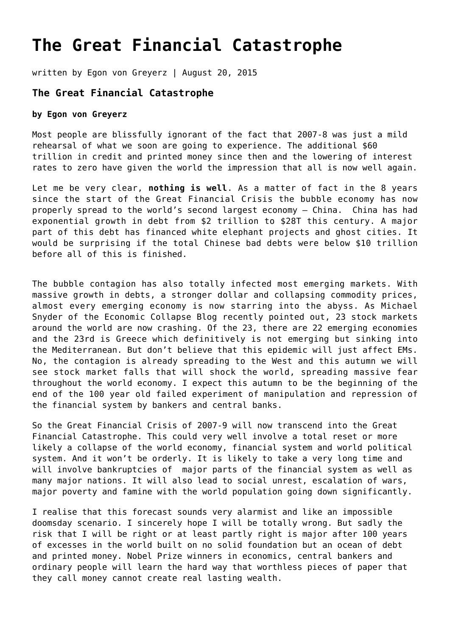## **[The Great Financial Catastrophe](https://goldswitzerland.com/the-great-financial-catastrophe/)**

written by Egon von Greyerz | August 20, 2015

## **The Great Financial Catastrophe**

## **by Egon von Greyerz**

Most people are blissfully ignorant of the fact that 2007-8 was just a mild rehearsal of what we soon are going to experience. The additional \$60 trillion in credit and printed money since then and the lowering of interest rates to zero have given the world the impression that all is now well again.

Let me be very clear, **nothing is well**. As a matter of fact in the 8 years since the start of the Great Financial Crisis the bubble economy has now properly spread to the world's second largest economy – China. China has had exponential growth in debt from \$2 trillion to \$28T this century. A major part of this debt has financed white elephant projects and ghost cities. It would be surprising if the total Chinese bad debts were below \$10 trillion before all of this is finished.

The bubble contagion has also totally infected most emerging markets. With massive growth in debts, a stronger dollar and collapsing commodity prices, almost every emerging economy is now starring into the abyss. As [Michael](http://theeconomiccollapseblog.com/archives/23-nations-around-the-world-where-stock-market-crashes-are-already-happening) [Snyder of the Economic Collapse Blog r](http://theeconomiccollapseblog.com/archives/23-nations-around-the-world-where-stock-market-crashes-are-already-happening)ecently pointed out, 23 stock markets around the world are now crashing. Of the 23, there are 22 emerging economies and the 23rd is Greece which definitively is not emerging but sinking into the Mediterranean. But don't believe that this epidemic will just affect EMs. No, the contagion is already spreading to the West and this autumn we will see stock market falls that will shock the world, spreading massive fear throughout the world economy. I expect this autumn to be the beginning of the end of the 100 year old failed experiment of manipulation and repression of the financial system by bankers and central banks.

So the Great Financial Crisis of 2007-9 will now transcend into the Great Financial Catastrophe. This could very well involve a total reset or more likely a collapse of the world economy, financial system and world political system. And it won't be orderly. It is likely to take a very long time and will involve bankruptcies of major parts of the financial system as well as many major nations. It will also lead to social unrest, escalation of wars, major poverty and famine with the world population going down significantly.

I realise that this forecast sounds very alarmist and like an impossible doomsday scenario. I sincerely hope I will be totally wrong. But sadly the risk that I will be right or at least partly right is major after 100 years of excesses in the world built on no solid foundation but an ocean of debt and printed money. Nobel Prize winners in economics, central bankers and ordinary people will learn the hard way that worthless pieces of paper that they call money cannot create real lasting wealth.